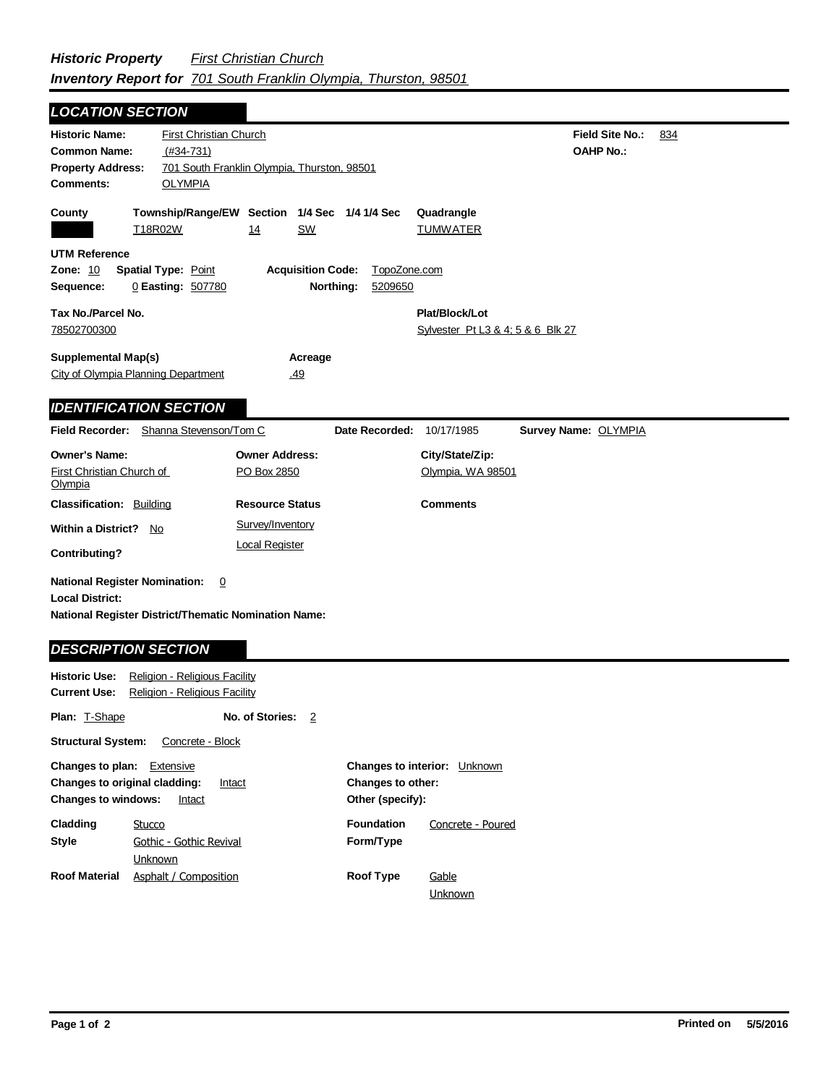## **Field Site No.:** 834 **OAHP No.:** Historic Name: First Christian Church **Common Name:** (#34-731) **County Plat/Block/Lot** Sylvester Pt L3 & 4; 5 & 6 Blk 27 **Acreage** .49 **Supplemental Map(s)** City of Olympia Planning Department **Tax No./Parcel No.** 78502700300 Property Address: 701 South Franklin Olympia, Thurston, 98501 *LOCATION SECTION* **Comments:** OLYMPIA **Quadrangle UTM Reference Township/Range/EW Section 1/4 Sec 1/4 1/4 Sec Owner Address:** PO Box 2850 **Field Recorder:** Shanna Stevenson/Tom C **Owner's Name:** First Christian Church of **Olympia City/State/Zip:** Olympia, WA 98501 **National Register District/Thematic Nomination Name: Local District: Date Recorded:** 10/17/1985 **Classification:** Building **Within a District?** No **Contributing? Comments National Register Nomination:** 0 **Resource Status Survey Name:** OLYMPIA *IDENTIFICATION SECTION DESCRIPTION SECTION* T18R02W 14 SW TUMWATER **Zone:** 10 **Spatial Type:** Point **Acquisition Code:** TopoZone.com **Sequence:** 0 **Easting:** 507780 **Northing:** 5209650 Survey/Inventory Local Register

| <b>Historic Use:</b><br>Religion - Religious Facility<br><b>Current Use:</b><br>Religion - Religious Facility        |                                    |                                                                              |                   |  |  |
|----------------------------------------------------------------------------------------------------------------------|------------------------------------|------------------------------------------------------------------------------|-------------------|--|--|
| <b>Plan: T-Shape</b>                                                                                                 | No. of Stories:<br>2               |                                                                              |                   |  |  |
| <b>Structural System:</b><br>Concrete - Block                                                                        |                                    |                                                                              |                   |  |  |
| <b>Changes to plan:</b> Extensive<br>Changes to original cladding:<br>Intact<br><b>Changes to windows:</b><br>Intact |                                    | <b>Changes to interior:</b> Unknown<br>Changes to other:<br>Other (specify): |                   |  |  |
| Cladding                                                                                                             | Stucco                             | <b>Foundation</b>                                                            | Concrete - Poured |  |  |
| Style                                                                                                                | Gothic - Gothic Revival<br>Unknown | Form/Type                                                                    |                   |  |  |
| <b>Roof Material</b>                                                                                                 | Asphalt / Composition              | <b>Roof Type</b>                                                             | Gable<br>Unknown  |  |  |